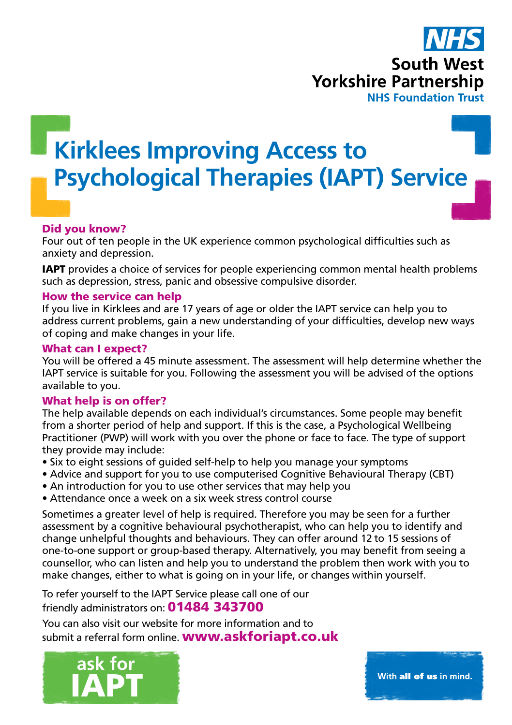

# **Kirklees Improving Access to Psychological Therapies (IAPT) Service**

# Did you know?

Four out of ten people in the UK experience common psychological difficulties such as anxiety and depression.

IAPT provides a choice of services for people experiencing common mental health problems such as depression, stress, panic and obsessive compulsive disorder.

#### How the service can help

If you live in Kirklees and are 17 years of age or older the IAPT service can help you to address current problems, gain a new understanding of your difficulties, develop new ways of coping and make changes in your life.

#### What can I expect?

You will be offered a 45 minute assessment. The assessment will help determine whether the IAPT service is suitable for you. Following the assessment you will be advised of the options available to you.

### What help is on offer?

The help available depends on each individual's circumstances. Some people may benefit from a shorter period of help and support. If this is the case, a Psychological Wellbeing Practitioner (PWP) will work with you over the phone or face to face. The type of support they provide may include:

- Six to eight sessions of guided self-help to help you manage your symptoms
- Advice and support for you to use computerised Cognitive Behavioural Therapy (CBT)
- An introduction for you to use other services that may help you
- Attendance once a week on a six week stress control course

Sometimes a greater level of help is required. Therefore you may be seen for a further assessment by a cognitive behavioural psychotherapist, who can help you to identify and change unhelpful thoughts and behaviours. They can offer around 12 to 15 sessions of one-to-one support or group-based therapy. Alternatively, you may benefit from seeing a counsellor, who can listen and help you to understand the problem then work with you to make changes, either to what is going on in your life, or changes within yourself.

To refer yourself to the IAPT Service please call one of our friendly administrators on: 01484 343700

You can also visit our website for more information and to submit a referral form online. **www.askforiapt.co.uk**